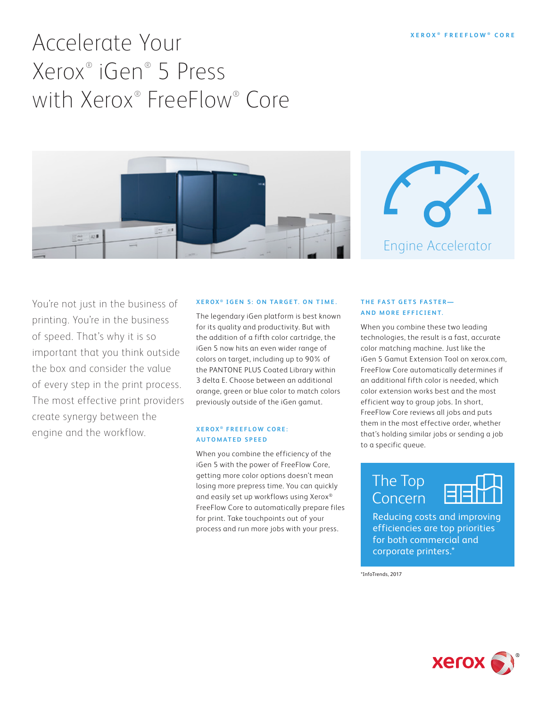# Accelerate Your Xerox® iGen® 5 Press with Xerox® FreeFlow® Core





You're not just in the business of printing. You're in the business of speed. That's why it is so important that you think outside the box and consider the value of every step in the print process. The most effective print providers create synergy between the engine and the workflow.

#### **XEROX ® IGEN 5: ON TARGET. ON TIME.**

The legendary iGen platform is best known for its quality and productivity. But with the addition of a fifth color cartridge, the iGen 5 now hits an even wider range of colors on target, including up to 90% of the PANTONE PLUS Coated Library within 3 delta E. Choose between an additional orange, green or blue color to match colors previously outside of the iGen gamut.

#### **XEROX ® F R E E F L O W C O R E : AUTOMATED SPEED**

When you combine the efficiency of the iGen 5 with the power of FreeFlow Core, getting more color options doesn't mean losing more prepress time. You can quickly and easily set up workflows using Xerox® FreeFlow Core to automatically prepare files for print. Take touchpoints out of your process and run more jobs with your press.

#### **THE FAST GETS FASTER— AND MORE EFFICIENT.**

When you combine these two leading technologies, the result is a fast, accurate color matching machine. Just like the iGen 5 Gamut Extension Tool on xerox.com, FreeFlow Core automatically determines if an additional fifth color is needed, which color extension works best and the most efficient way to group jobs. In short, FreeFlow Core reviews all jobs and puts them in the most effective order, whether that's holding similar jobs or sending a job to a specific queue.

## The Top Concern



Reducing costs and improving efficiencies are top priorities for both commercial and corporate printers.\*

\*InfoTrends, 2017